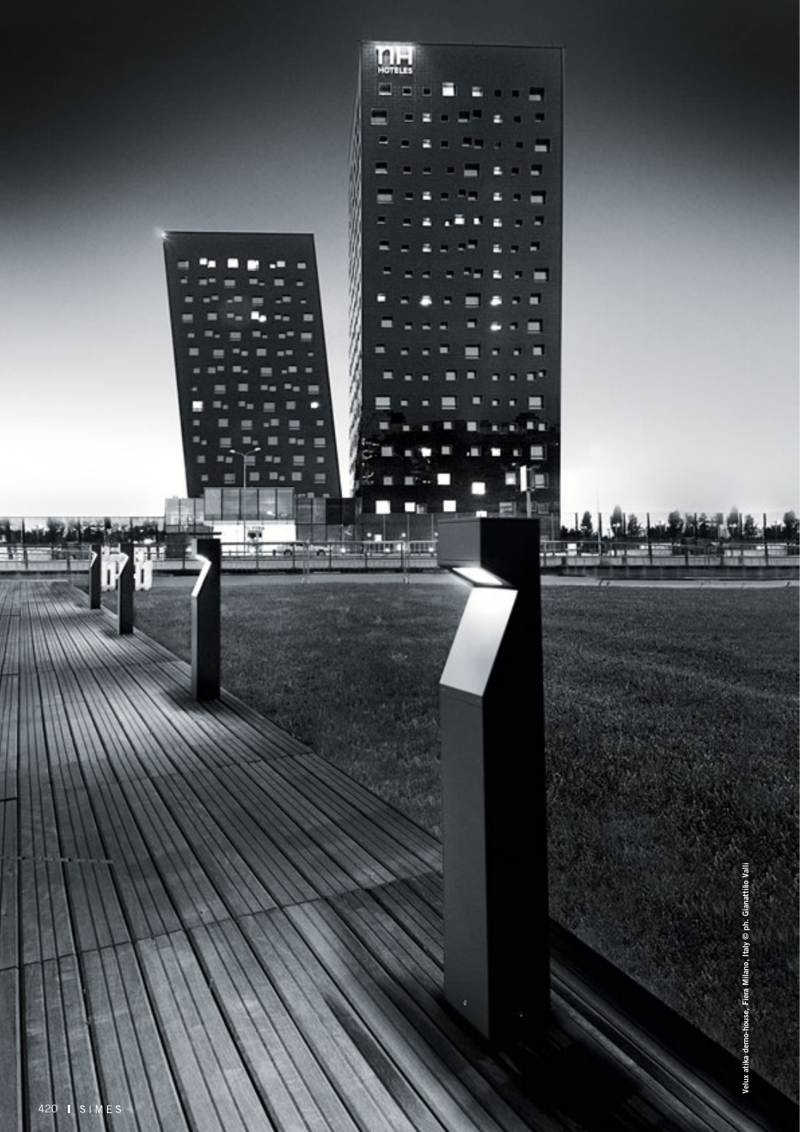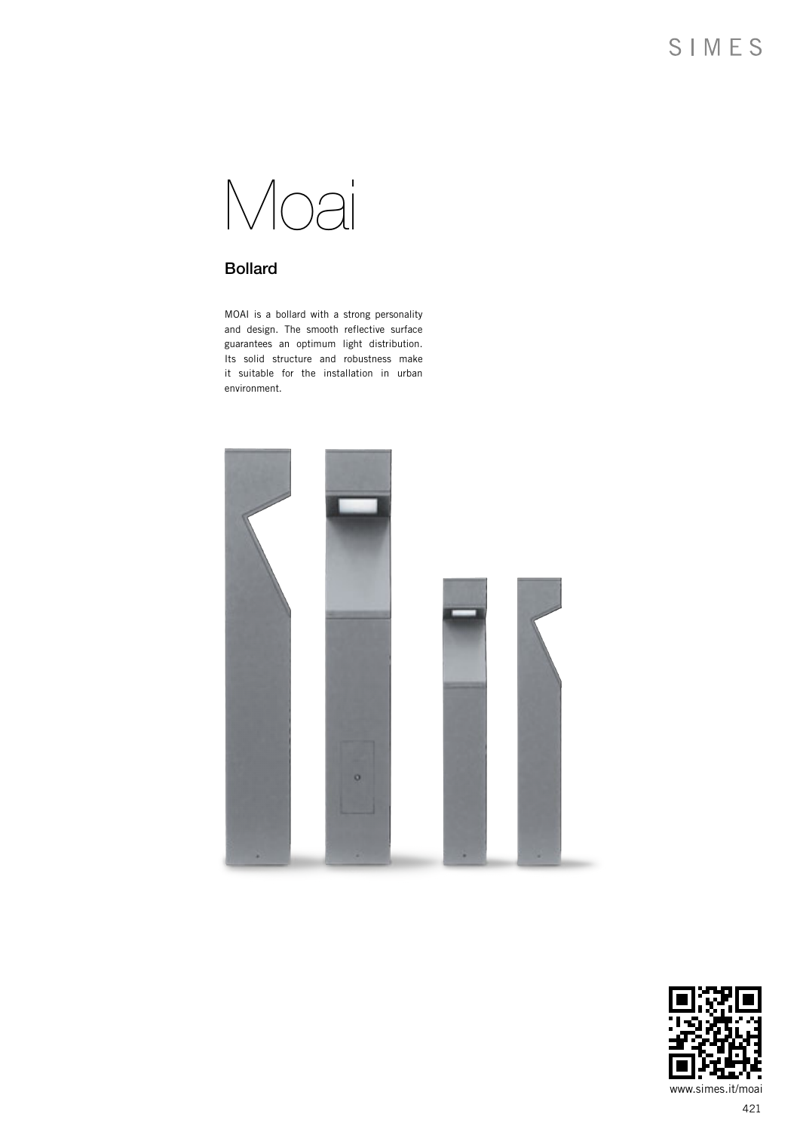

### Bollard

MOAI is a bollard with a strong personality and design. The smooth reflective surface guarantees an optimum light distribution. Its solid structure and robustness make it suitable for the installation in urban environment.



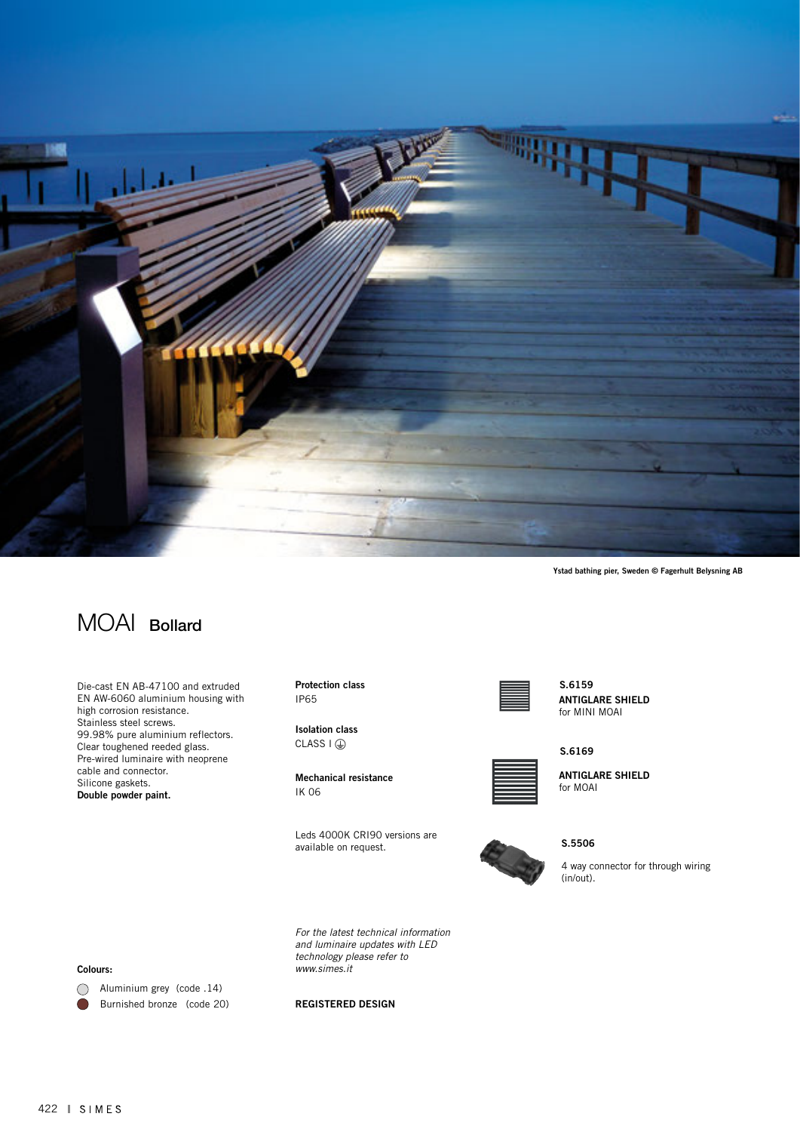

Ystad bathing pier, Sweden © Fagerhult Belysning AB

# MOAI Bollard

Die-cast EN AB-47100 and extruded EN AW-6060 aluminium housing with high corrosion resistance. Stainless steel screws. 99.98% pure aluminium reflectors. Clear toughened reeded glass. Pre-wired luminaire with neoprene cable and connector. Silicone gaskets. Double powder paint.

Protection class IP65

Isolation class  $CLASS I (D)$ 

Mechanical resistance IK 06

Leds 4000K CRI90 versions are available on request.

*For the latest technical information and luminaire updates with LED technology please refer to* 



#### ANTIGLARE SHIELD for MINI MOAI S.6159



ANTIGLARE SHIELD for MOAI



S.5506

4 way connector for through wiring (in/out).

Colours:

Aluminium grey (code .14) Burnished bronze (code 20)  $\bullet$ 

#### REGISTERED DESIGN

*www.simes.it*